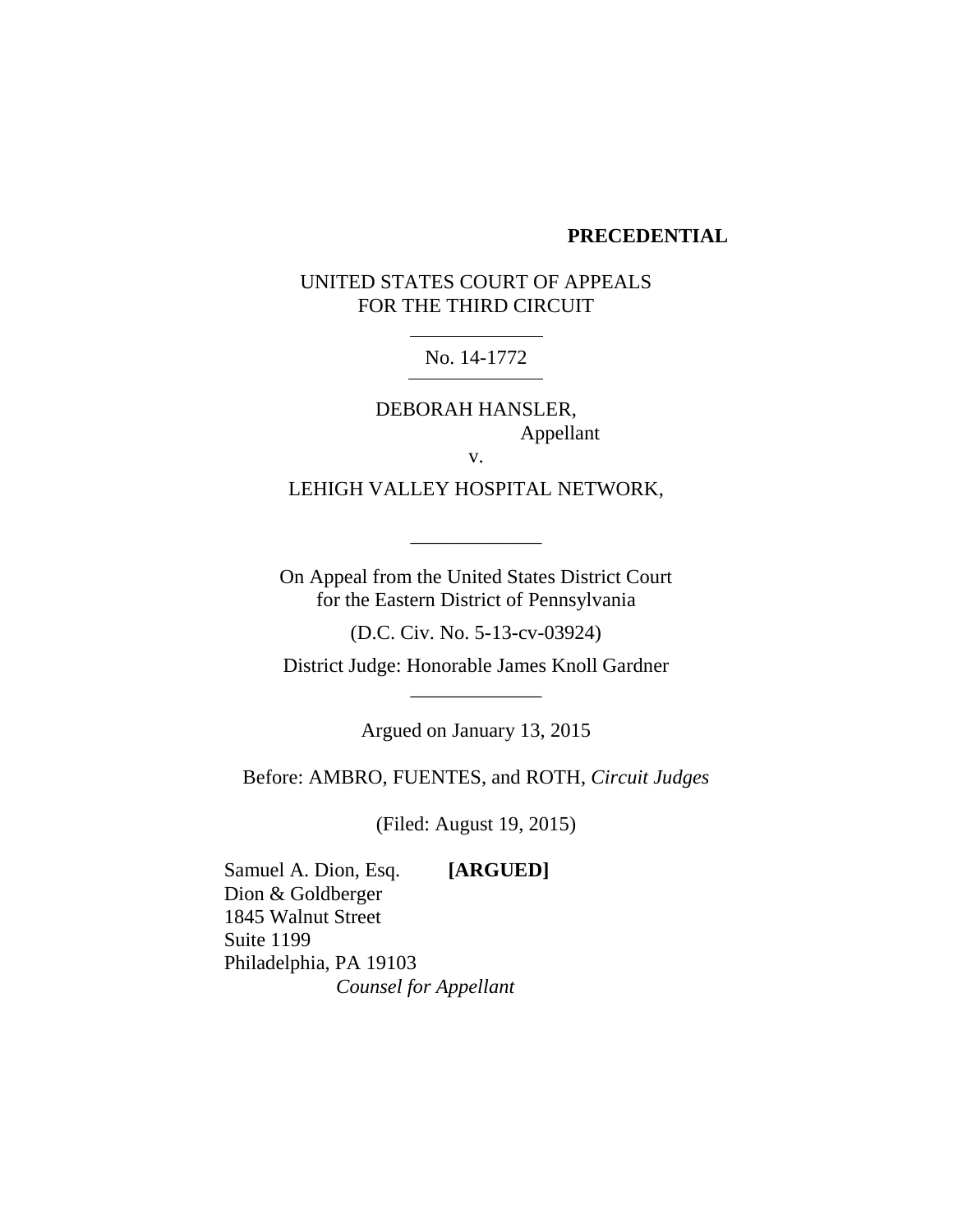### **PRECEDENTIAL**

# UNITED STATES COURT OF APPEALS FOR THE THIRD CIRCUIT

## No. 14-1772

DEBORAH HANSLER, Appellant v.

LEHIGH VALLEY HOSPITAL NETWORK,

\_\_\_\_\_\_\_\_\_\_\_\_\_

On Appeal from the United States District Court for the Eastern District of Pennsylvania

(D.C. Civ. No. 5-13-cv-03924)

District Judge: Honorable James Knoll Gardner \_\_\_\_\_\_\_\_\_\_\_\_\_

Argued on January 13, 2015

Before: AMBRO, FUENTES, and ROTH, *Circuit Judges*

(Filed: August 19, 2015)

Samuel A. Dion, Esq. **[ARGUED]** Dion & Goldberger 1845 Walnut Street Suite 1199 Philadelphia, PA 19103 *Counsel for Appellant*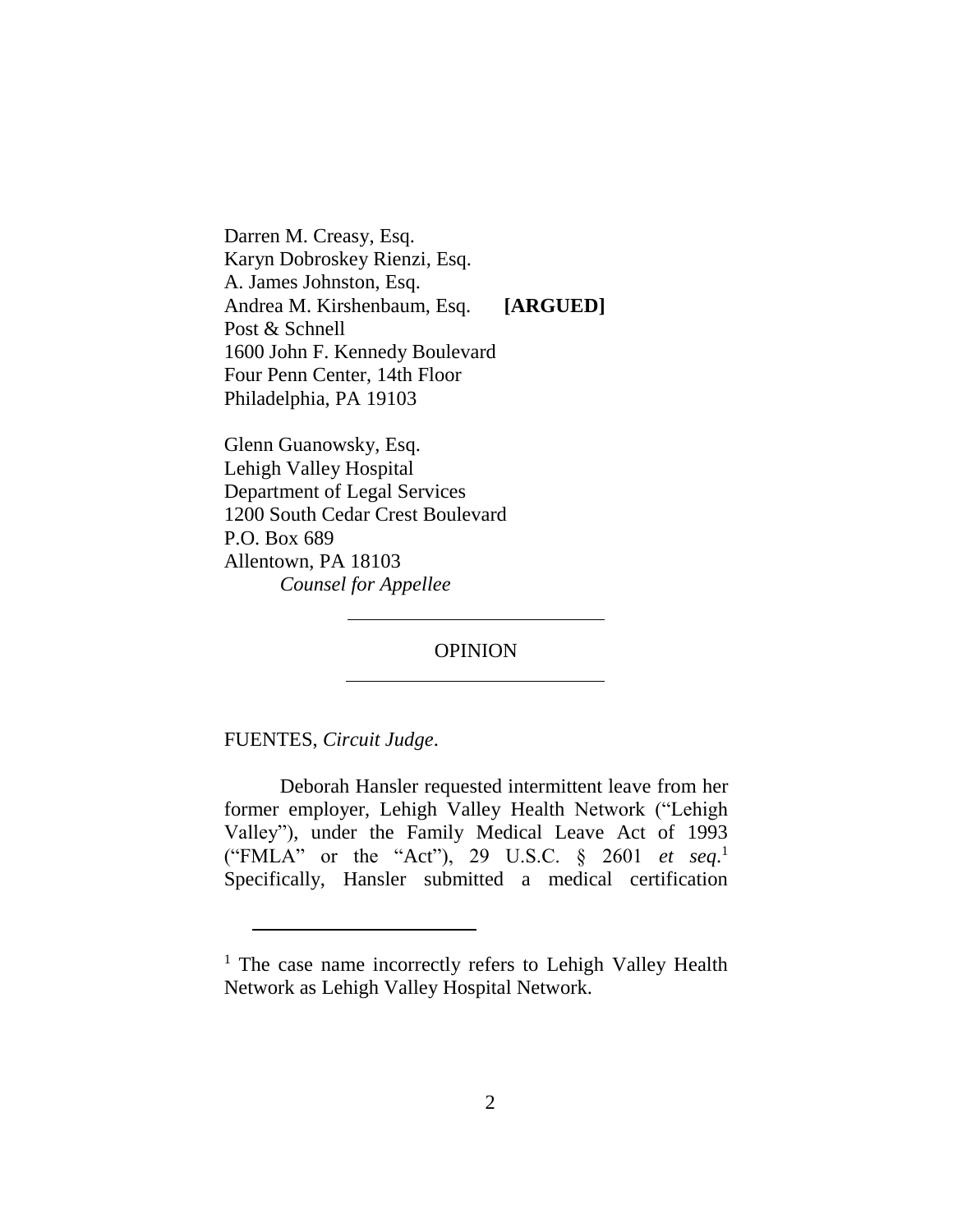Darren M. Creasy, Esq. Karyn Dobroskey Rienzi, Esq. A. James Johnston, Esq. Andrea M. Kirshenbaum, Esq. **[ARGUED]** Post & Schnell 1600 John F. Kennedy Boulevard Four Penn Center, 14th Floor Philadelphia, PA 19103

Glenn Guanowsky, Esq. Lehigh Valley Hospital Department of Legal Services 1200 South Cedar Crest Boulevard P.O. Box 689 Allentown, PA 18103 *Counsel for Appellee*

OPINION

FUENTES, *Circuit Judge*.

 $\overline{a}$ 

Deborah Hansler requested intermittent leave from her former employer, Lehigh Valley Health Network ("Lehigh Valley"), under the Family Medical Leave Act of 1993 ("FMLA" or the "Act"), 29 U.S.C. § 2601 *et seq*. 1 Specifically, Hansler submitted a medical certification

<sup>&</sup>lt;sup>1</sup> The case name incorrectly refers to Lehigh Valley Health Network as Lehigh Valley Hospital Network.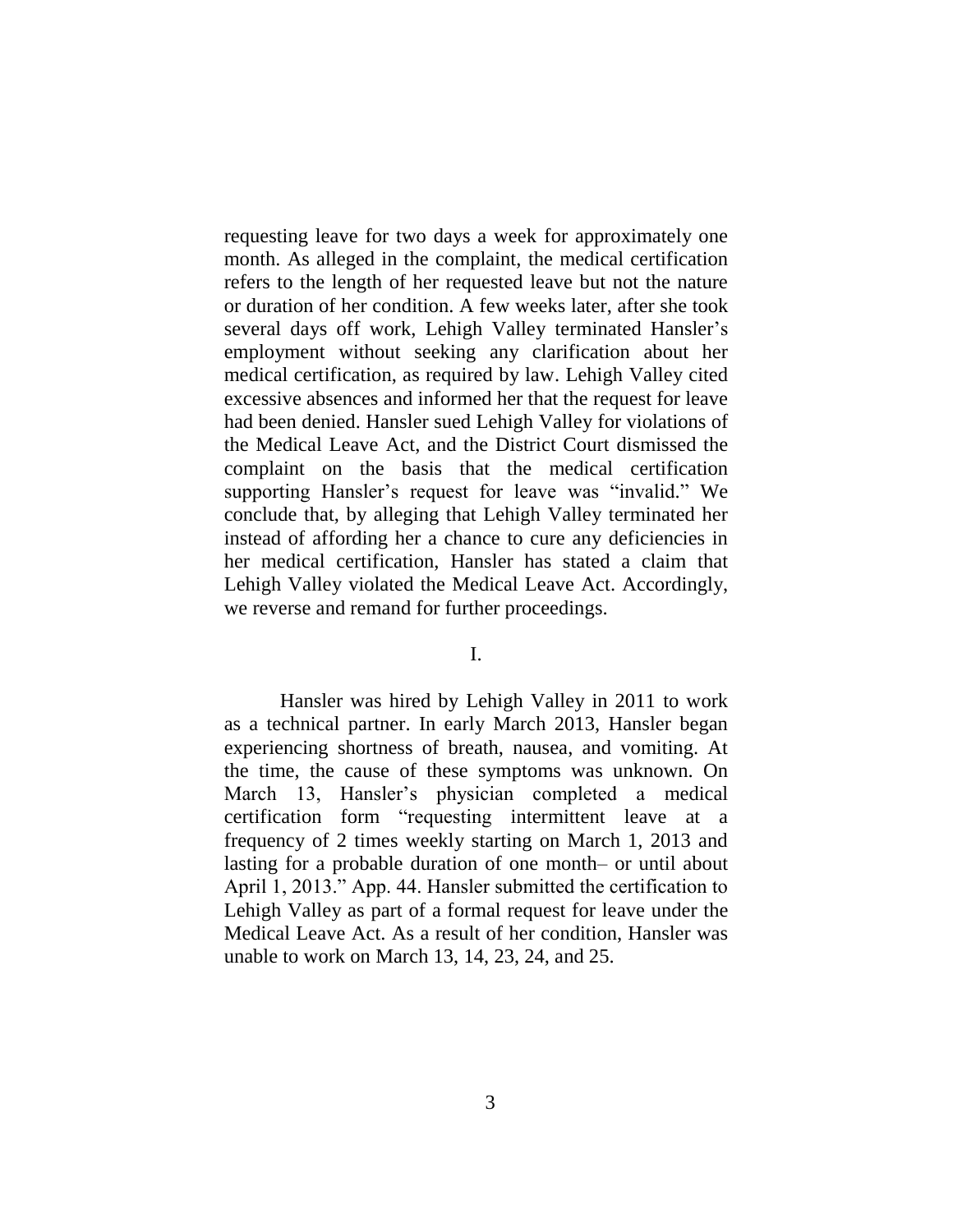requesting leave for two days a week for approximately one month. As alleged in the complaint, the medical certification refers to the length of her requested leave but not the nature or duration of her condition. A few weeks later, after she took several days off work, Lehigh Valley terminated Hansler's employment without seeking any clarification about her medical certification, as required by law. Lehigh Valley cited excessive absences and informed her that the request for leave had been denied. Hansler sued Lehigh Valley for violations of the Medical Leave Act, and the District Court dismissed the complaint on the basis that the medical certification supporting Hansler's request for leave was "invalid." We conclude that, by alleging that Lehigh Valley terminated her instead of affording her a chance to cure any deficiencies in her medical certification, Hansler has stated a claim that Lehigh Valley violated the Medical Leave Act. Accordingly, we reverse and remand for further proceedings.

I.

Hansler was hired by Lehigh Valley in 2011 to work as a technical partner. In early March 2013, Hansler began experiencing shortness of breath, nausea, and vomiting. At the time, the cause of these symptoms was unknown. On March 13, Hansler's physician completed a medical certification form "requesting intermittent leave at a frequency of 2 times weekly starting on March 1, 2013 and lasting for a probable duration of one month– or until about April 1, 2013." App. 44. Hansler submitted the certification to Lehigh Valley as part of a formal request for leave under the Medical Leave Act. As a result of her condition, Hansler was unable to work on March 13, 14, 23, 24, and 25.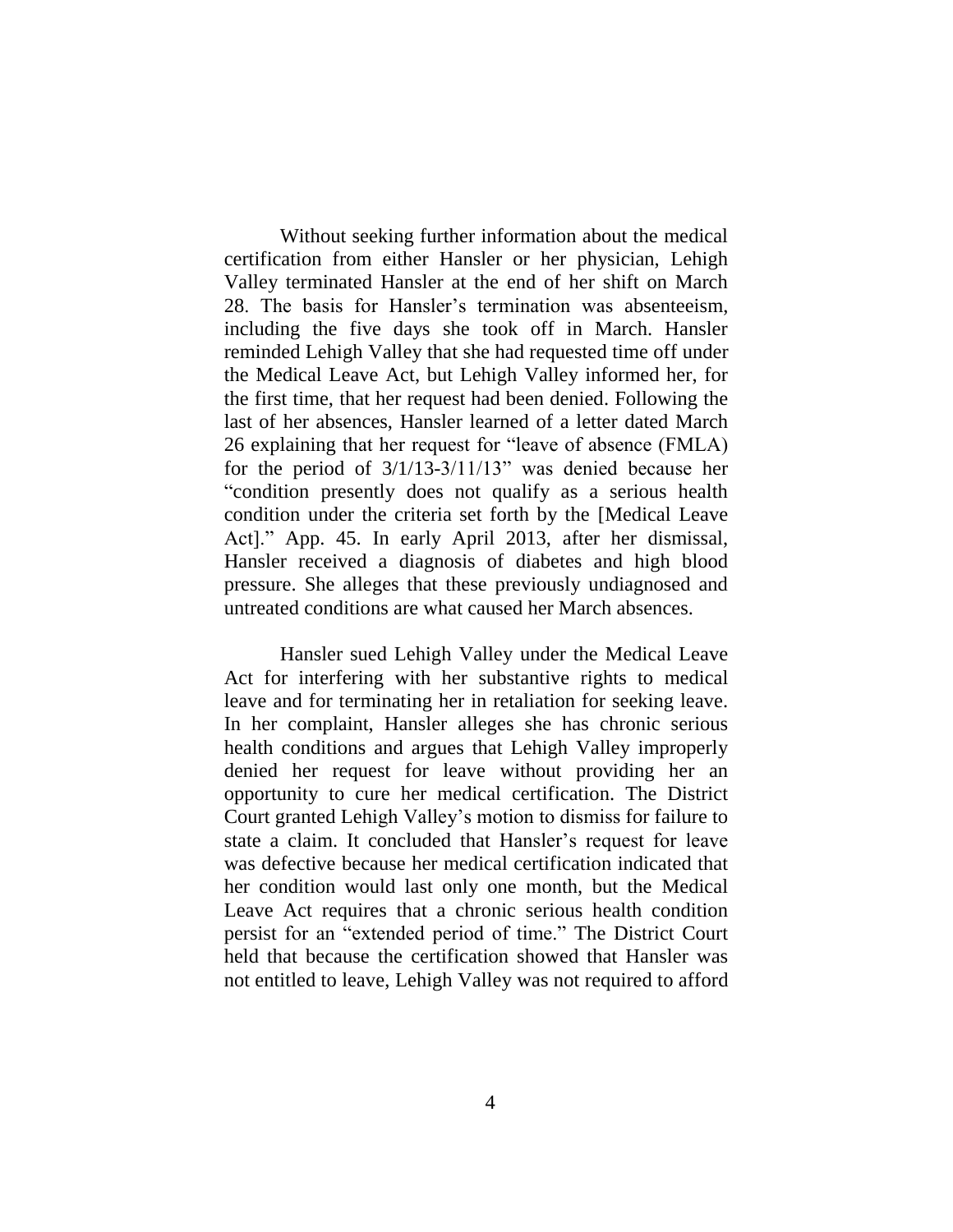Without seeking further information about the medical certification from either Hansler or her physician, Lehigh Valley terminated Hansler at the end of her shift on March 28. The basis for Hansler's termination was absenteeism, including the five days she took off in March. Hansler reminded Lehigh Valley that she had requested time off under the Medical Leave Act, but Lehigh Valley informed her, for the first time, that her request had been denied. Following the last of her absences, Hansler learned of a letter dated March 26 explaining that her request for "leave of absence (FMLA) for the period of 3/1/13-3/11/13" was denied because her "condition presently does not qualify as a serious health condition under the criteria set forth by the [Medical Leave Act]." App. 45. In early April 2013, after her dismissal, Hansler received a diagnosis of diabetes and high blood pressure. She alleges that these previously undiagnosed and untreated conditions are what caused her March absences.

Hansler sued Lehigh Valley under the Medical Leave Act for interfering with her substantive rights to medical leave and for terminating her in retaliation for seeking leave. In her complaint, Hansler alleges she has chronic serious health conditions and argues that Lehigh Valley improperly denied her request for leave without providing her an opportunity to cure her medical certification. The District Court granted Lehigh Valley's motion to dismiss for failure to state a claim. It concluded that Hansler's request for leave was defective because her medical certification indicated that her condition would last only one month, but the Medical Leave Act requires that a chronic serious health condition persist for an "extended period of time." The District Court held that because the certification showed that Hansler was not entitled to leave, Lehigh Valley was not required to afford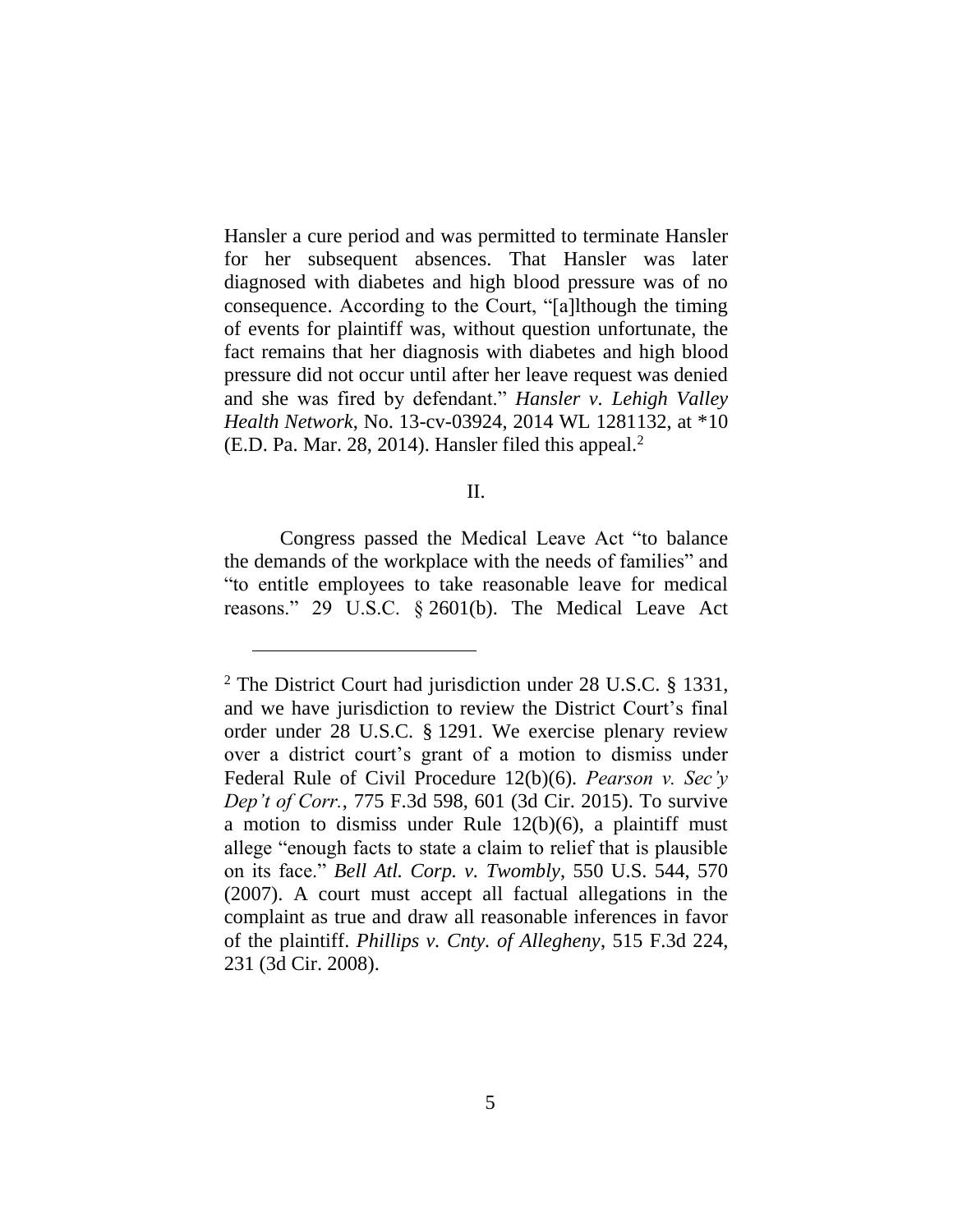Hansler a cure period and was permitted to terminate Hansler for her subsequent absences. That Hansler was later diagnosed with diabetes and high blood pressure was of no consequence. According to the Court, "[a]lthough the timing of events for plaintiff was, without question unfortunate, the fact remains that her diagnosis with diabetes and high blood pressure did not occur until after her leave request was denied and she was fired by defendant." *Hansler v. Lehigh Valley Health Network*, No. 13-cv-03924, 2014 WL 1281132, at \*10 (E.D. Pa. Mar. 28, 2014). Hansler filed this appeal. 2

### II.

Congress passed the Medical Leave Act "to balance the demands of the workplace with the needs of families" and "to entitle employees to take reasonable leave for medical reasons." 29 U.S.C. § 2601(b). The Medical Leave Act

<sup>&</sup>lt;sup>2</sup> The District Court had jurisdiction under 28 U.S.C. § 1331, and we have jurisdiction to review the District Court's final order under 28 U.S.C. § 1291. We exercise plenary review over a district court's grant of a motion to dismiss under Federal Rule of Civil Procedure 12(b)(6). *Pearson v. Sec'y Dep't of Corr.*, 775 F.3d 598, 601 (3d Cir. 2015). To survive a motion to dismiss under Rule  $12(b)(6)$ , a plaintiff must allege "enough facts to state a claim to relief that is plausible on its face." *Bell Atl. Corp. v. Twombly*, 550 U.S. 544, 570 (2007). A court must accept all factual allegations in the complaint as true and draw all reasonable inferences in favor of the plaintiff. *Phillips v. Cnty. of Allegheny*, 515 F.3d 224, 231 (3d Cir. 2008).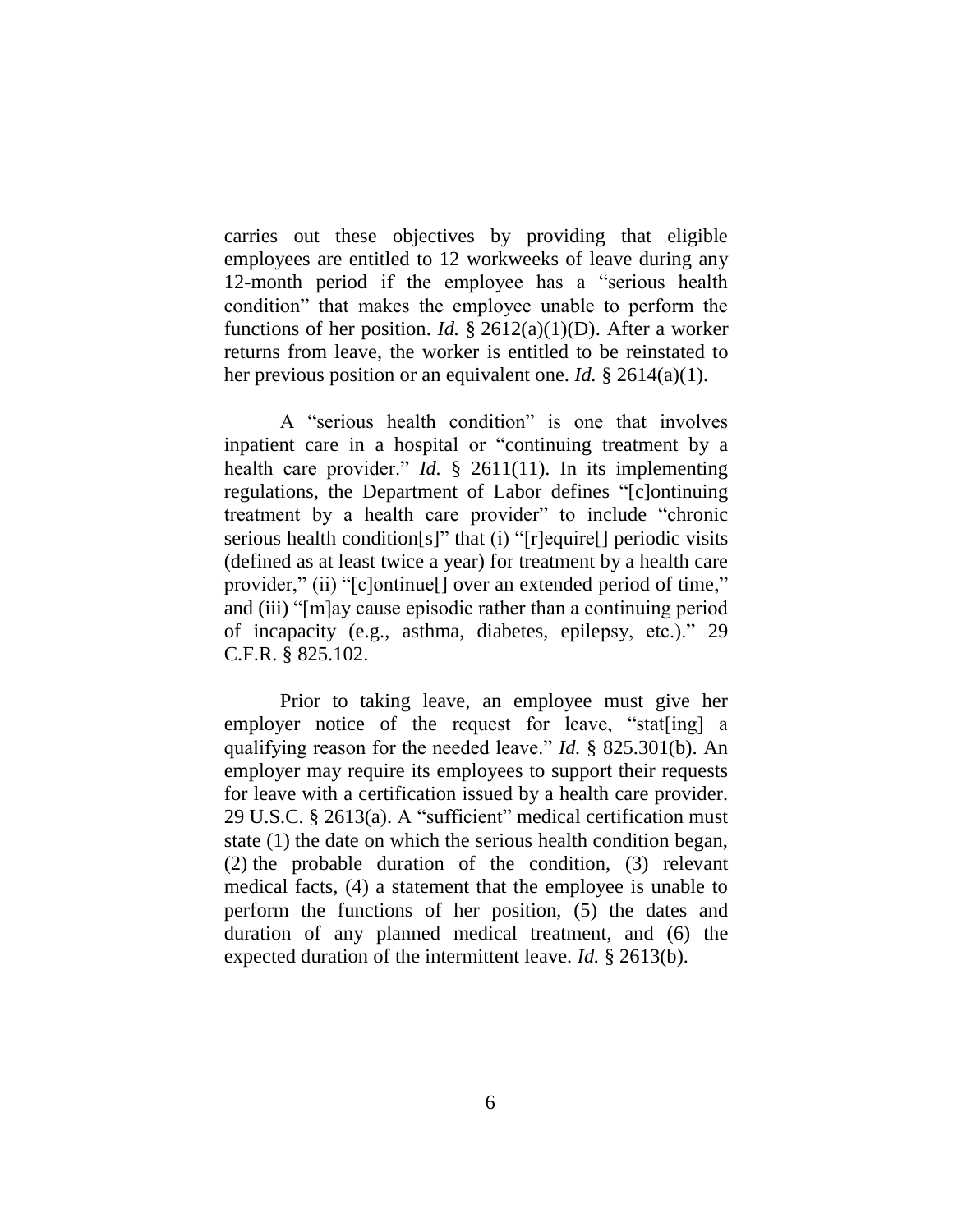carries out these objectives by providing that eligible employees are entitled to 12 workweeks of leave during any 12-month period if the employee has a "serious health condition" that makes the employee unable to perform the functions of her position. *Id.* § 2612(a)(1)(D). After a worker returns from leave, the worker is entitled to be reinstated to her previous position or an equivalent one. *Id.* § 2614(a)(1).

A "serious health condition" is one that involves inpatient care in a hospital or "continuing treatment by a health care provider." *Id.* § 2611(11). In its implementing regulations, the Department of Labor defines "[c]ontinuing treatment by a health care provider" to include "chronic serious health condition[s]" that (i) "[r]equire[] periodic visits (defined as at least twice a year) for treatment by a health care provider," (ii) "[c]ontinue[] over an extended period of time," and (iii) "[m]ay cause episodic rather than a continuing period of incapacity (e.g., asthma, diabetes, epilepsy, etc.)." 29 C.F.R. § 825.102.

Prior to taking leave, an employee must give her employer notice of the request for leave, "stat[ing] a qualifying reason for the needed leave." *Id.* § 825.301(b). An employer may require its employees to support their requests for leave with a certification issued by a health care provider. 29 U.S.C. § 2613(a). A "sufficient" medical certification must state (1) the date on which the serious health condition began, (2) the probable duration of the condition, (3) relevant medical facts, (4) a statement that the employee is unable to perform the functions of her position, (5) the dates and duration of any planned medical treatment, and (6) the expected duration of the intermittent leave. *Id.* § 2613(b).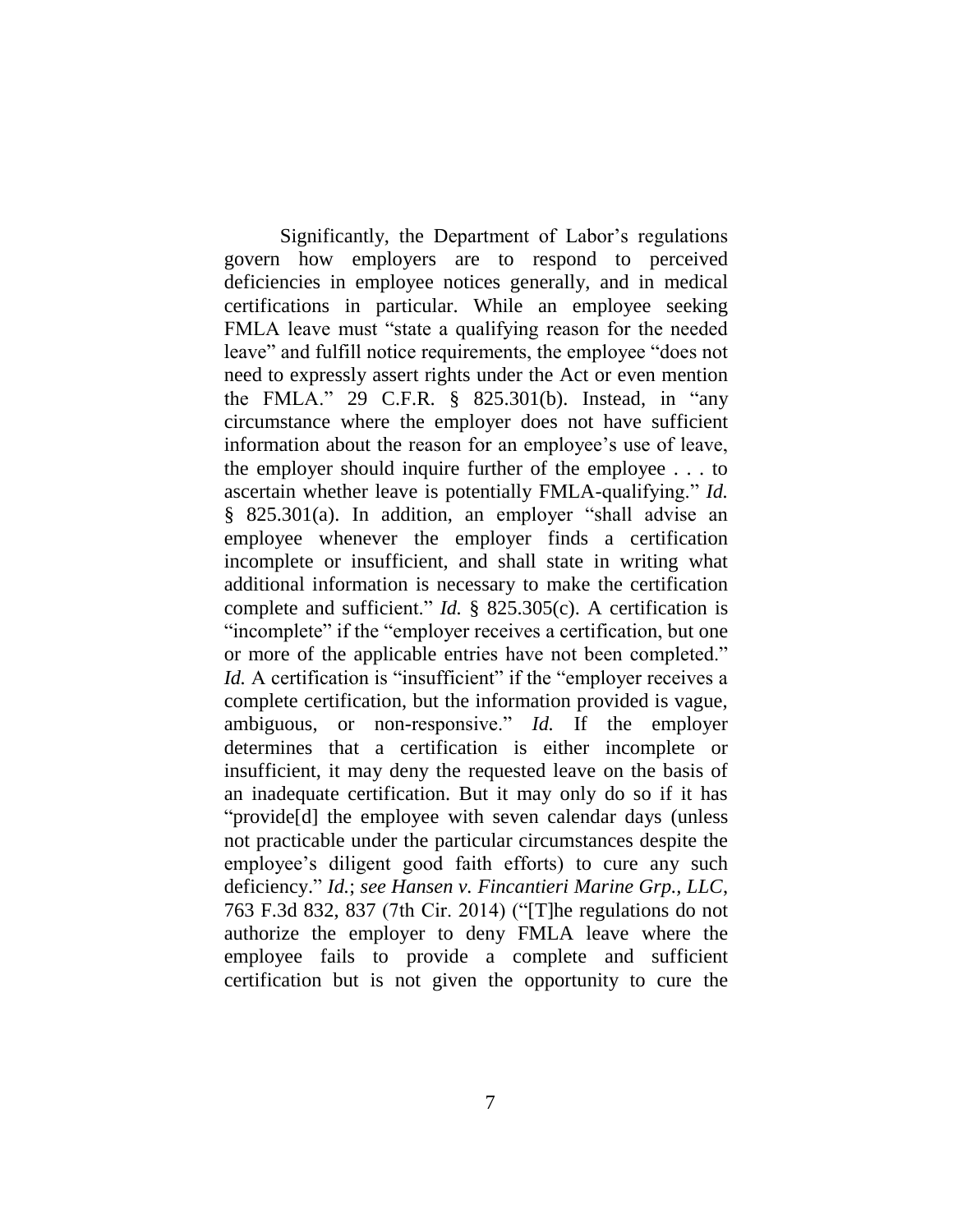Significantly, the Department of Labor's regulations govern how employers are to respond to perceived deficiencies in employee notices generally, and in medical certifications in particular. While an employee seeking FMLA leave must "state a qualifying reason for the needed leave" and fulfill notice requirements, the employee "does not need to expressly assert rights under the Act or even mention the FMLA." 29 C.F.R. § 825.301(b). Instead, in "any circumstance where the employer does not have sufficient information about the reason for an employee's use of leave, the employer should inquire further of the employee . . . to ascertain whether leave is potentially FMLA-qualifying." *Id.* § 825.301(a). In addition, an employer "shall advise an employee whenever the employer finds a certification incomplete or insufficient, and shall state in writing what additional information is necessary to make the certification complete and sufficient." *Id.* § 825.305(c). A certification is "incomplete" if the "employer receives a certification, but one or more of the applicable entries have not been completed." *Id.* A certification is "insufficient" if the "employer receives a complete certification, but the information provided is vague, ambiguous, or non-responsive." *Id.* If the employer determines that a certification is either incomplete or insufficient, it may deny the requested leave on the basis of an inadequate certification. But it may only do so if it has "provide[d] the employee with seven calendar days (unless not practicable under the particular circumstances despite the employee's diligent good faith efforts) to cure any such deficiency." *Id.*; *see Hansen v. Fincantieri Marine Grp., LLC*, 763 F.3d 832, 837 (7th Cir. 2014) ("[T]he regulations do not authorize the employer to deny FMLA leave where the employee fails to provide a complete and sufficient certification but is not given the opportunity to cure the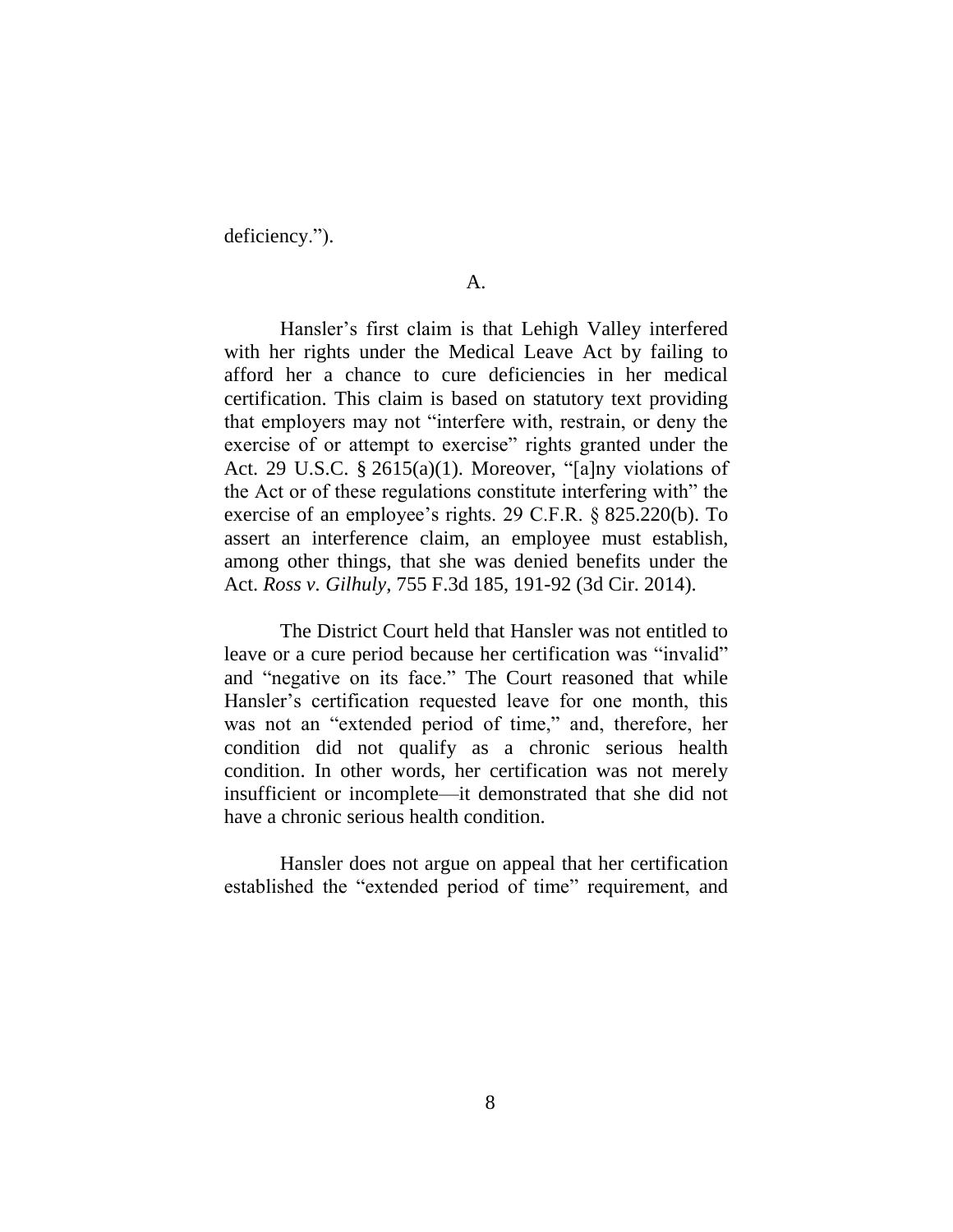deficiency.").

Hansler's first claim is that Lehigh Valley interfered with her rights under the Medical Leave Act by failing to afford her a chance to cure deficiencies in her medical certification. This claim is based on statutory text providing that employers may not "interfere with, restrain, or deny the exercise of or attempt to exercise" rights granted under the Act. 29 U.S.C. § 2615(a)(1). Moreover, "[a]ny violations of the Act or of these regulations constitute interfering with" the exercise of an employee's rights. 29 C.F.R. § 825.220(b). To assert an interference claim, an employee must establish, among other things, that she was denied benefits under the Act. *Ross v. Gilhuly*, 755 F.3d 185, 191-92 (3d Cir. 2014).

The District Court held that Hansler was not entitled to leave or a cure period because her certification was "invalid" and "negative on its face." The Court reasoned that while Hansler's certification requested leave for one month, this was not an "extended period of time," and, therefore, her condition did not qualify as a chronic serious health condition. In other words, her certification was not merely insufficient or incomplete—it demonstrated that she did not have a chronic serious health condition.

Hansler does not argue on appeal that her certification established the "extended period of time" requirement, and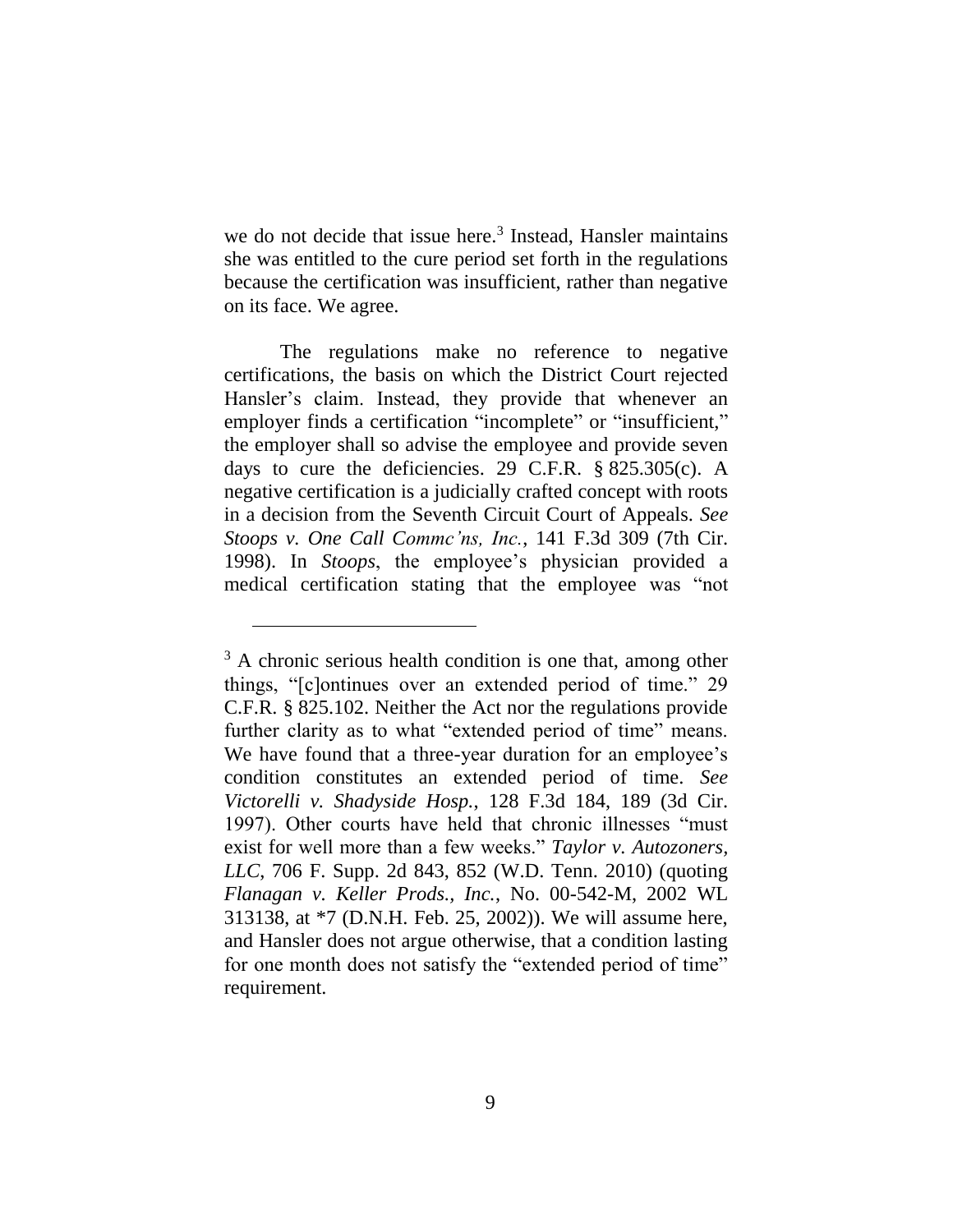we do not decide that issue here.<sup>3</sup> Instead, Hansler maintains she was entitled to the cure period set forth in the regulations because the certification was insufficient, rather than negative on its face. We agree.

The regulations make no reference to negative certifications, the basis on which the District Court rejected Hansler's claim. Instead, they provide that whenever an employer finds a certification "incomplete" or "insufficient." the employer shall so advise the employee and provide seven days to cure the deficiencies. 29 C.F.R.  $\S$  825.305(c). A negative certification is a judicially crafted concept with roots in a decision from the Seventh Circuit Court of Appeals. *See Stoops v. One Call Commc'ns, Inc.*, 141 F.3d 309 (7th Cir. 1998). In *Stoops*, the employee's physician provided a medical certification stating that the employee was "not

<sup>&</sup>lt;sup>3</sup> A chronic serious health condition is one that, among other things, "[c]ontinues over an extended period of time." 29 C.F.R. § 825.102. Neither the Act nor the regulations provide further clarity as to what "extended period of time" means. We have found that a three-year duration for an employee's condition constitutes an extended period of time. *See Victorelli v. Shadyside Hosp.*, 128 F.3d 184, 189 (3d Cir. 1997). Other courts have held that chronic illnesses "must exist for well more than a few weeks." *Taylor v. Autozoners, LLC*, 706 F. Supp. 2d 843, 852 (W.D. Tenn. 2010) (quoting *Flanagan v. Keller Prods., Inc.*, No. 00-542-M, 2002 WL 313138, at \*7 (D.N.H. Feb. 25, 2002)). We will assume here, and Hansler does not argue otherwise, that a condition lasting for one month does not satisfy the "extended period of time" requirement.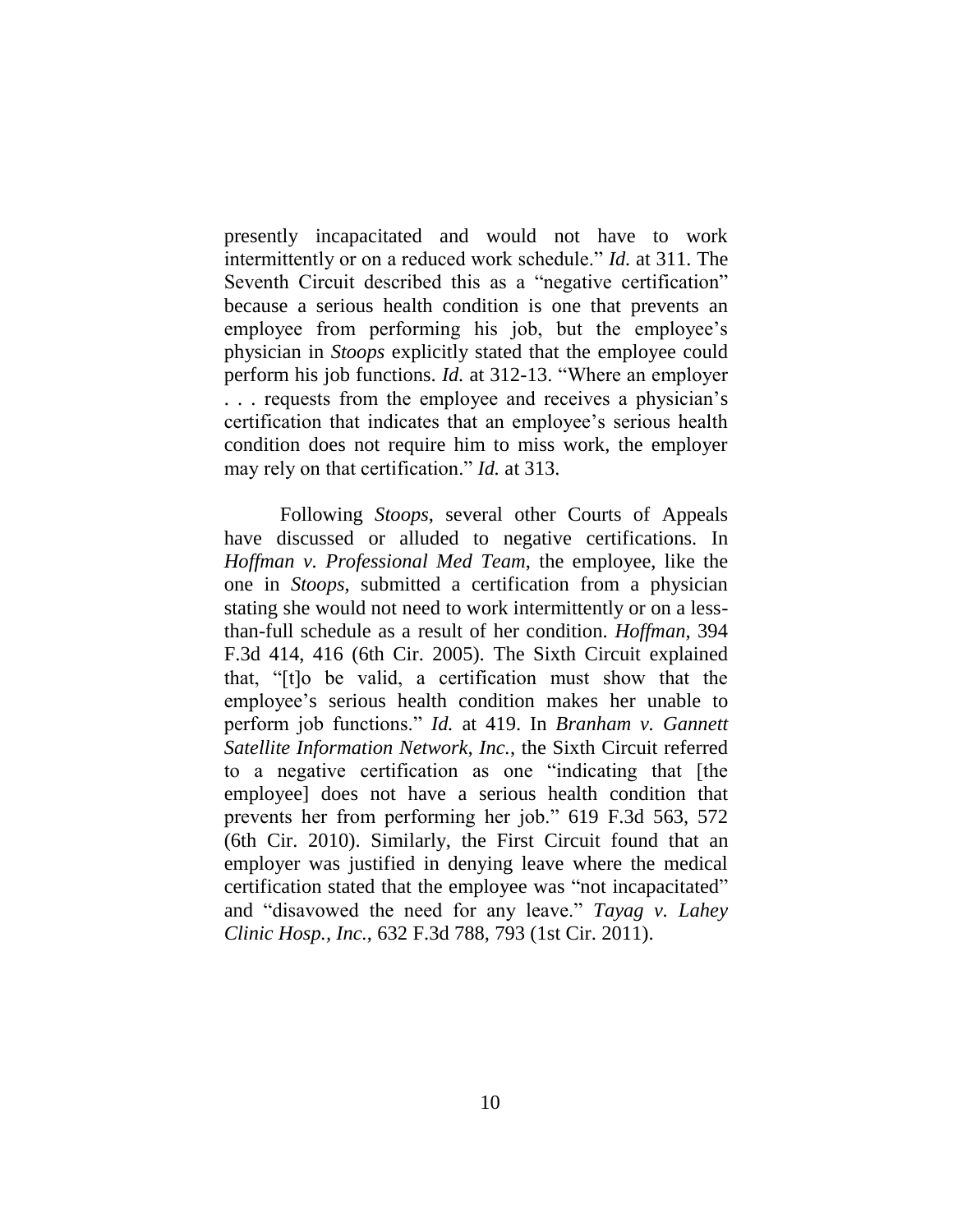presently incapacitated and would not have to work intermittently or on a reduced work schedule." *Id.* at 311. The Seventh Circuit described this as a "negative certification" because a serious health condition is one that prevents an employee from performing his job, but the employee's physician in *Stoops* explicitly stated that the employee could perform his job functions. *Id.* at 312-13. "Where an employer . . . requests from the employee and receives a physician's certification that indicates that an employee's serious health condition does not require him to miss work, the employer may rely on that certification." *Id.* at 313.

Following *Stoops*, several other Courts of Appeals have discussed or alluded to negative certifications. In *Hoffman v. Professional Med Team*, the employee, like the one in *Stoops*, submitted a certification from a physician stating she would not need to work intermittently or on a lessthan-full schedule as a result of her condition. *Hoffman*, 394 F.3d 414, 416 (6th Cir. 2005). The Sixth Circuit explained that, "[t]o be valid, a certification must show that the employee's serious health condition makes her unable to perform job functions." *Id.* at 419. In *Branham v. Gannett Satellite Information Network, Inc.*, the Sixth Circuit referred to a negative certification as one "indicating that [the employee] does not have a serious health condition that prevents her from performing her job." 619 F.3d 563, 572 (6th Cir. 2010). Similarly, the First Circuit found that an employer was justified in denying leave where the medical certification stated that the employee was "not incapacitated" and "disavowed the need for any leave." *Tayag v. Lahey Clinic Hosp., Inc.*, 632 F.3d 788, 793 (1st Cir. 2011).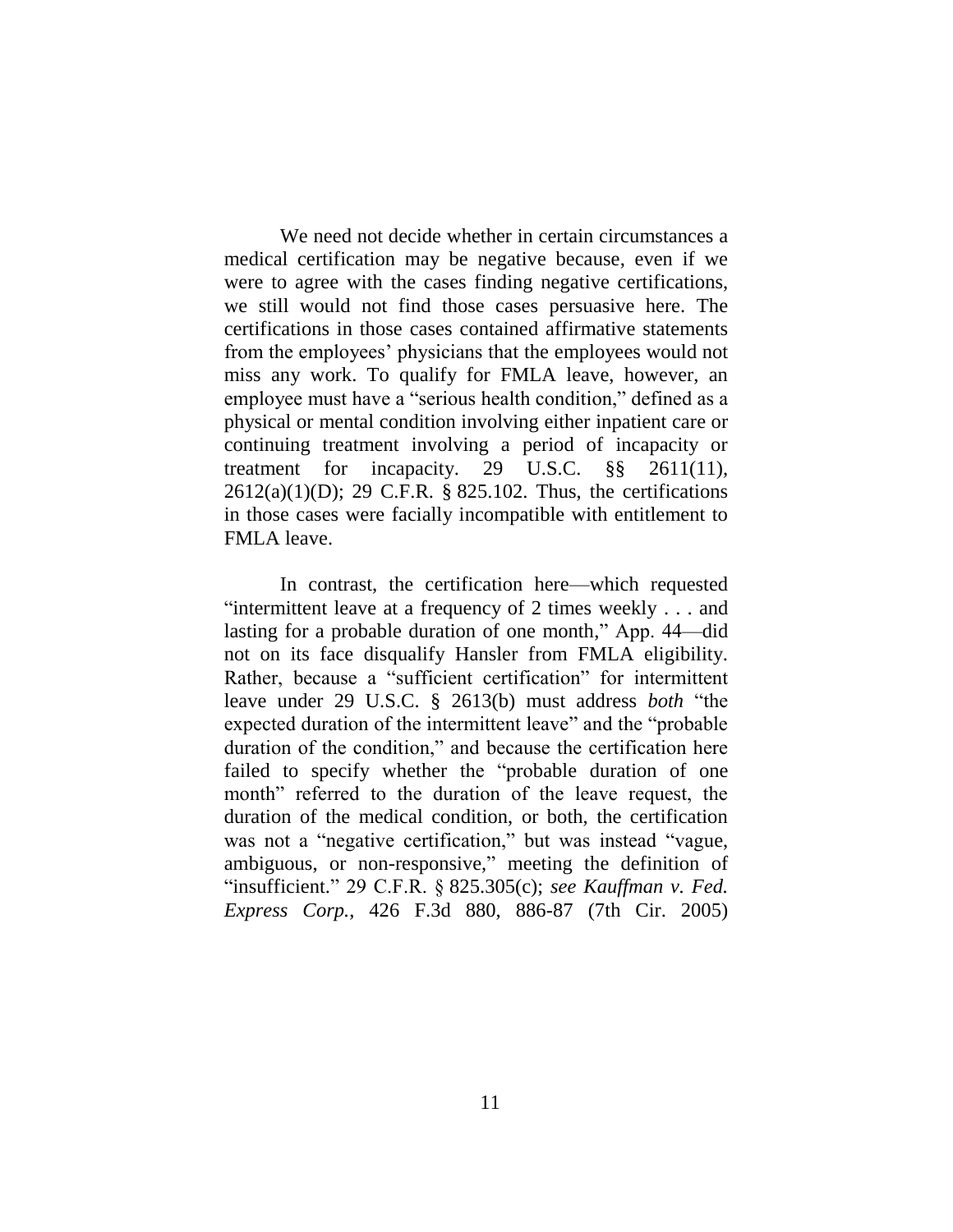We need not decide whether in certain circumstances a medical certification may be negative because, even if we were to agree with the cases finding negative certifications, we still would not find those cases persuasive here. The certifications in those cases contained affirmative statements from the employees' physicians that the employees would not miss any work. To qualify for FMLA leave, however, an employee must have a "serious health condition," defined as a physical or mental condition involving either inpatient care or continuing treatment involving a period of incapacity or treatment for incapacity. 29 U.S.C. §§ 2611(11), 2612(a)(1)(D); 29 C.F.R. § 825.102. Thus, the certifications in those cases were facially incompatible with entitlement to FMLA leave.

In contrast, the certification here—which requested "intermittent leave at a frequency of 2 times weekly . . . and lasting for a probable duration of one month," App. 44—did not on its face disqualify Hansler from FMLA eligibility. Rather, because a "sufficient certification" for intermittent leave under 29 U.S.C. § 2613(b) must address *both* "the expected duration of the intermittent leave" and the "probable duration of the condition," and because the certification here failed to specify whether the "probable duration of one month" referred to the duration of the leave request, the duration of the medical condition, or both, the certification was not a "negative certification," but was instead "vague, ambiguous, or non-responsive," meeting the definition of "insufficient." 29 C.F.R. § 825.305(c); *see Kauffman v. Fed. Express Corp.*, 426 F.3d 880, 886-87 (7th Cir. 2005)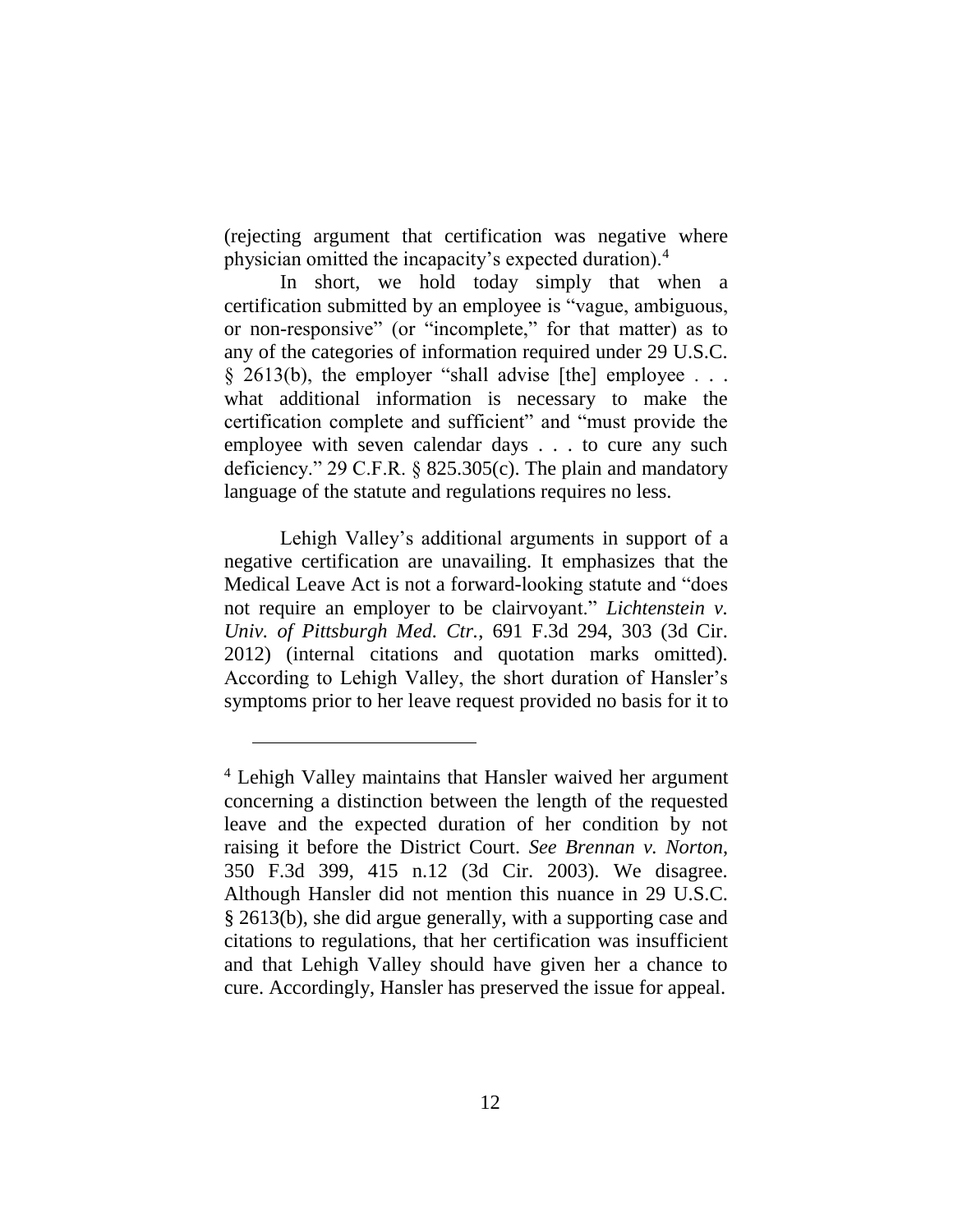(rejecting argument that certification was negative where physician omitted the incapacity's expected duration).<sup>4</sup>

In short, we hold today simply that when a certification submitted by an employee is "vague, ambiguous, or non-responsive" (or "incomplete," for that matter) as to any of the categories of information required under 29 U.S.C.  $§$  2613(b), the employer "shall advise [the] employee  $\ldots$ what additional information is necessary to make the certification complete and sufficient" and "must provide the employee with seven calendar days . . . to cure any such deficiency." 29 C.F.R. § 825.305(c). The plain and mandatory language of the statute and regulations requires no less.

Lehigh Valley's additional arguments in support of a negative certification are unavailing. It emphasizes that the Medical Leave Act is not a forward-looking statute and "does not require an employer to be clairvoyant." *Lichtenstein v. Univ. of Pittsburgh Med. Ctr.*, 691 F.3d 294, 303 (3d Cir. 2012) (internal citations and quotation marks omitted). According to Lehigh Valley, the short duration of Hansler's symptoms prior to her leave request provided no basis for it to

<sup>4</sup> Lehigh Valley maintains that Hansler waived her argument concerning a distinction between the length of the requested leave and the expected duration of her condition by not raising it before the District Court. *See Brennan v. Norton*, 350 F.3d 399, 415 n.12 (3d Cir. 2003). We disagree. Although Hansler did not mention this nuance in 29 U.S.C. § 2613(b), she did argue generally, with a supporting case and citations to regulations, that her certification was insufficient and that Lehigh Valley should have given her a chance to cure. Accordingly, Hansler has preserved the issue for appeal.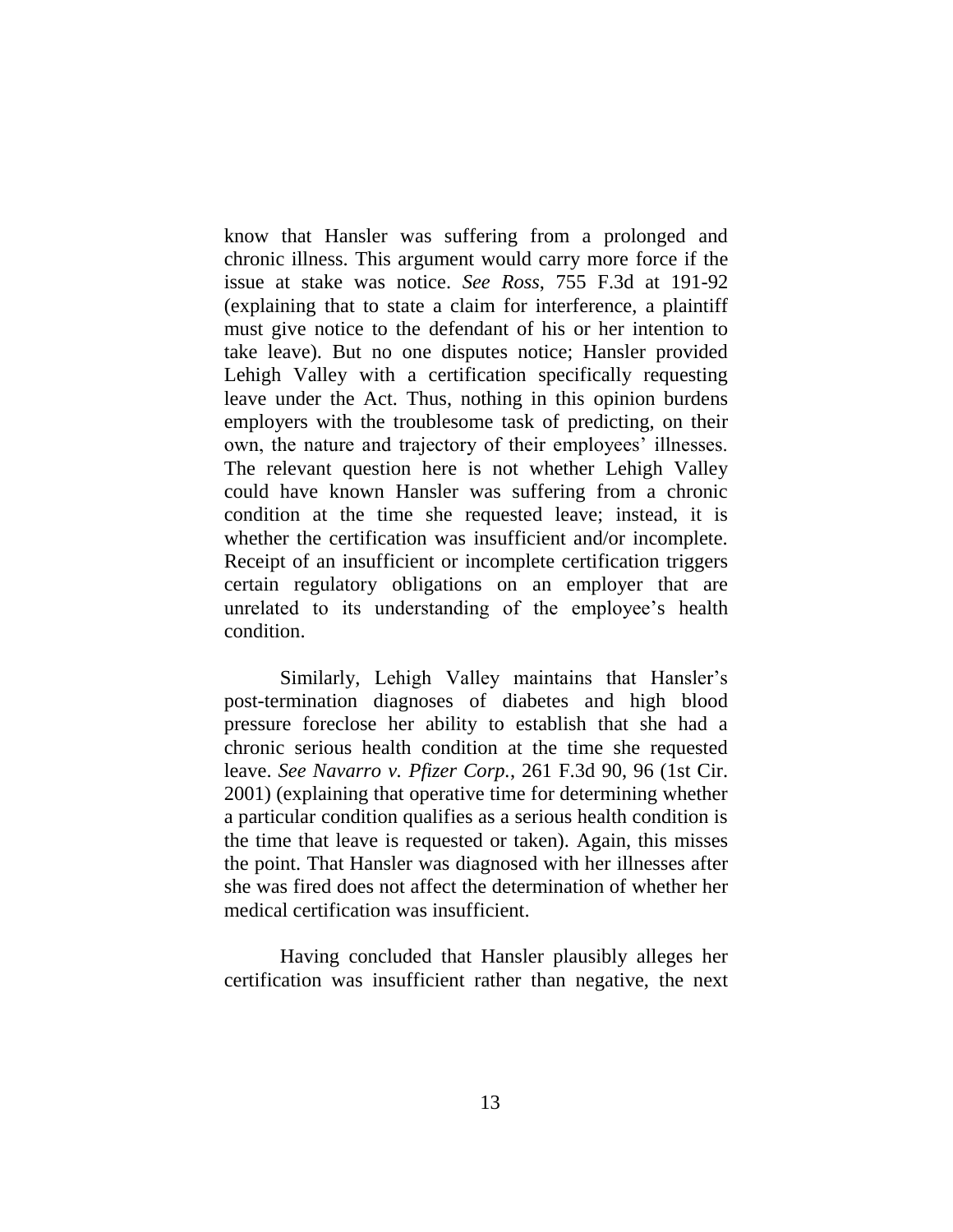know that Hansler was suffering from a prolonged and chronic illness. This argument would carry more force if the issue at stake was notice. *See Ross*, 755 F.3d at 191-92 (explaining that to state a claim for interference, a plaintiff must give notice to the defendant of his or her intention to take leave). But no one disputes notice; Hansler provided Lehigh Valley with a certification specifically requesting leave under the Act. Thus, nothing in this opinion burdens employers with the troublesome task of predicting, on their own, the nature and trajectory of their employees' illnesses. The relevant question here is not whether Lehigh Valley could have known Hansler was suffering from a chronic condition at the time she requested leave; instead, it is whether the certification was insufficient and/or incomplete. Receipt of an insufficient or incomplete certification triggers certain regulatory obligations on an employer that are unrelated to its understanding of the employee's health condition.

Similarly, Lehigh Valley maintains that Hansler's post-termination diagnoses of diabetes and high blood pressure foreclose her ability to establish that she had a chronic serious health condition at the time she requested leave. *See Navarro v. Pfizer Corp.*, 261 F.3d 90, 96 (1st Cir. 2001) (explaining that operative time for determining whether a particular condition qualifies as a serious health condition is the time that leave is requested or taken). Again, this misses the point. That Hansler was diagnosed with her illnesses after she was fired does not affect the determination of whether her medical certification was insufficient.

Having concluded that Hansler plausibly alleges her certification was insufficient rather than negative, the next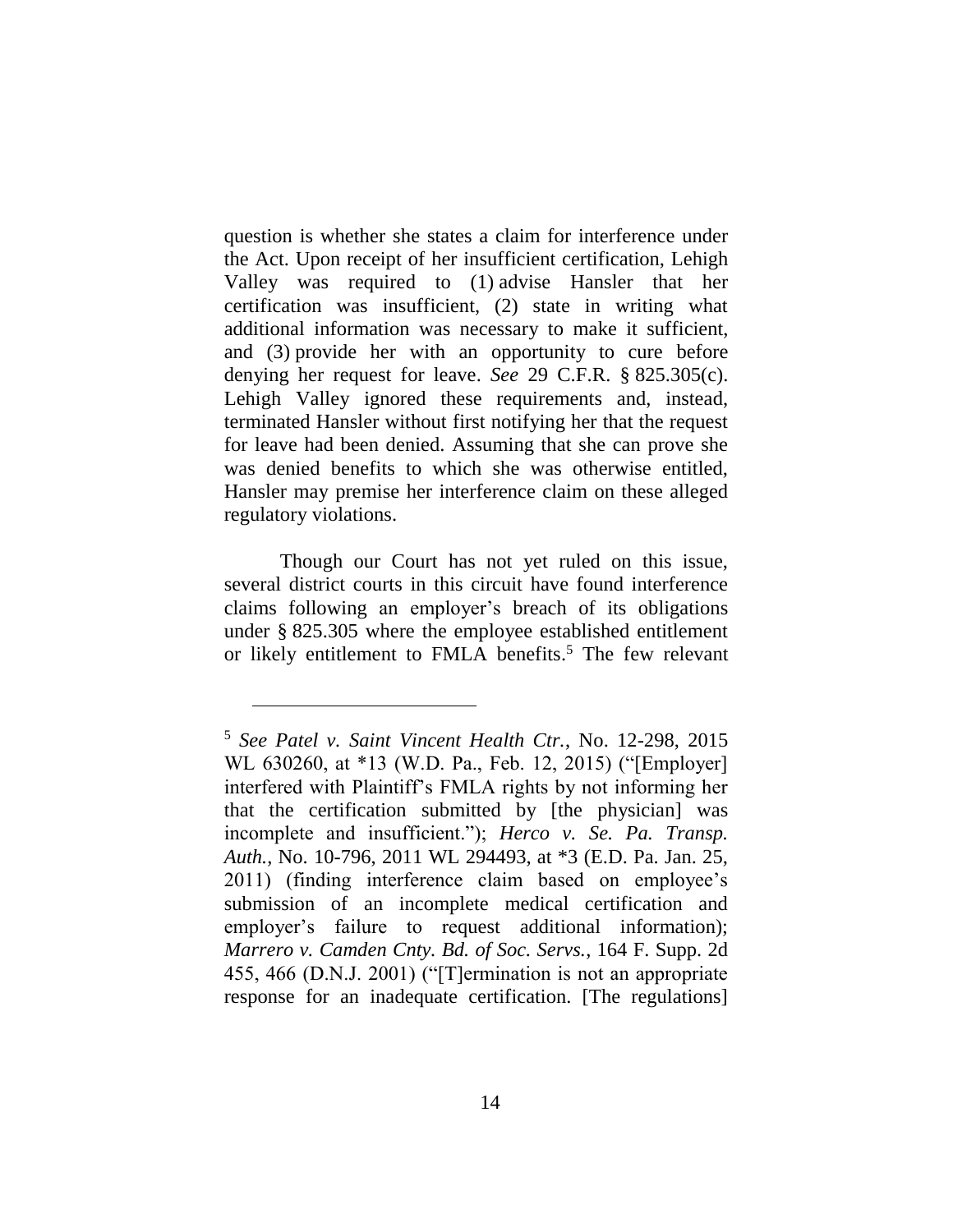question is whether she states a claim for interference under the Act. Upon receipt of her insufficient certification, Lehigh Valley was required to (1) advise Hansler that her certification was insufficient, (2) state in writing what additional information was necessary to make it sufficient, and (3) provide her with an opportunity to cure before denying her request for leave. *See* 29 C.F.R. § 825.305(c). Lehigh Valley ignored these requirements and, instead, terminated Hansler without first notifying her that the request for leave had been denied. Assuming that she can prove she was denied benefits to which she was otherwise entitled, Hansler may premise her interference claim on these alleged regulatory violations.

Though our Court has not yet ruled on this issue, several district courts in this circuit have found interference claims following an employer's breach of its obligations under § 825.305 where the employee established entitlement or likely entitlement to FMLA benefits. <sup>5</sup> The few relevant

<sup>5</sup> *See Patel v. Saint Vincent Health Ctr.*, No. 12-298, 2015 WL 630260, at \*13 (W.D. Pa., Feb. 12, 2015) ("[Employer] interfered with Plaintiff's FMLA rights by not informing her that the certification submitted by [the physician] was incomplete and insufficient."); *Herco v. Se. Pa. Transp. Auth.*, No. 10-796, 2011 WL 294493, at \*3 (E.D. Pa. Jan. 25, 2011) (finding interference claim based on employee's submission of an incomplete medical certification and employer's failure to request additional information); *Marrero v. Camden Cnty. Bd. of Soc. Servs.*, 164 F. Supp. 2d 455, 466 (D.N.J. 2001) ("[T]ermination is not an appropriate response for an inadequate certification. [The regulations]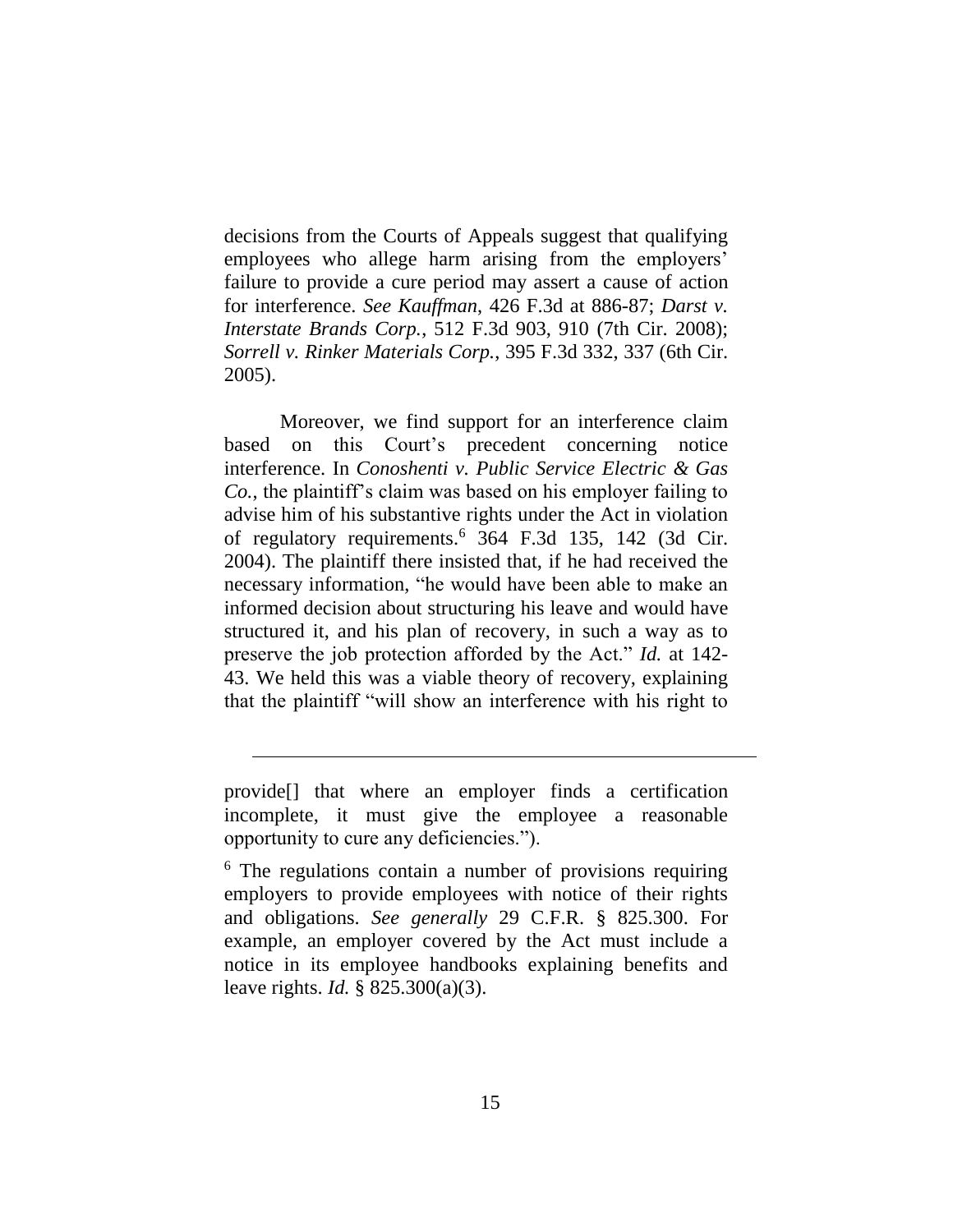decisions from the Courts of Appeals suggest that qualifying employees who allege harm arising from the employers' failure to provide a cure period may assert a cause of action for interference. *See Kauffman*, 426 F.3d at 886-87; *Darst v. Interstate Brands Corp.*, 512 F.3d 903, 910 (7th Cir. 2008); *Sorrell v. Rinker Materials Corp.*, 395 F.3d 332, 337 (6th Cir. 2005).

Moreover, we find support for an interference claim based on this Court's precedent concerning notice interference. In *Conoshenti v. Public Service Electric & Gas Co.*, the plaintiff's claim was based on his employer failing to advise him of his substantive rights under the Act in violation of regulatory requirements. <sup>6</sup> 364 F.3d 135, 142 (3d Cir. 2004). The plaintiff there insisted that, if he had received the necessary information, "he would have been able to make an informed decision about structuring his leave and would have structured it, and his plan of recovery, in such a way as to preserve the job protection afforded by the Act." *Id.* at 142- 43. We held this was a viable theory of recovery, explaining that the plaintiff "will show an interference with his right to

provide[] that where an employer finds a certification incomplete, it must give the employee a reasonable opportunity to cure any deficiencies.").

<sup>&</sup>lt;sup>6</sup> The regulations contain a number of provisions requiring employers to provide employees with notice of their rights and obligations. *See generally* 29 C.F.R. § 825.300. For example, an employer covered by the Act must include a notice in its employee handbooks explaining benefits and leave rights. *Id.* § 825.300(a)(3).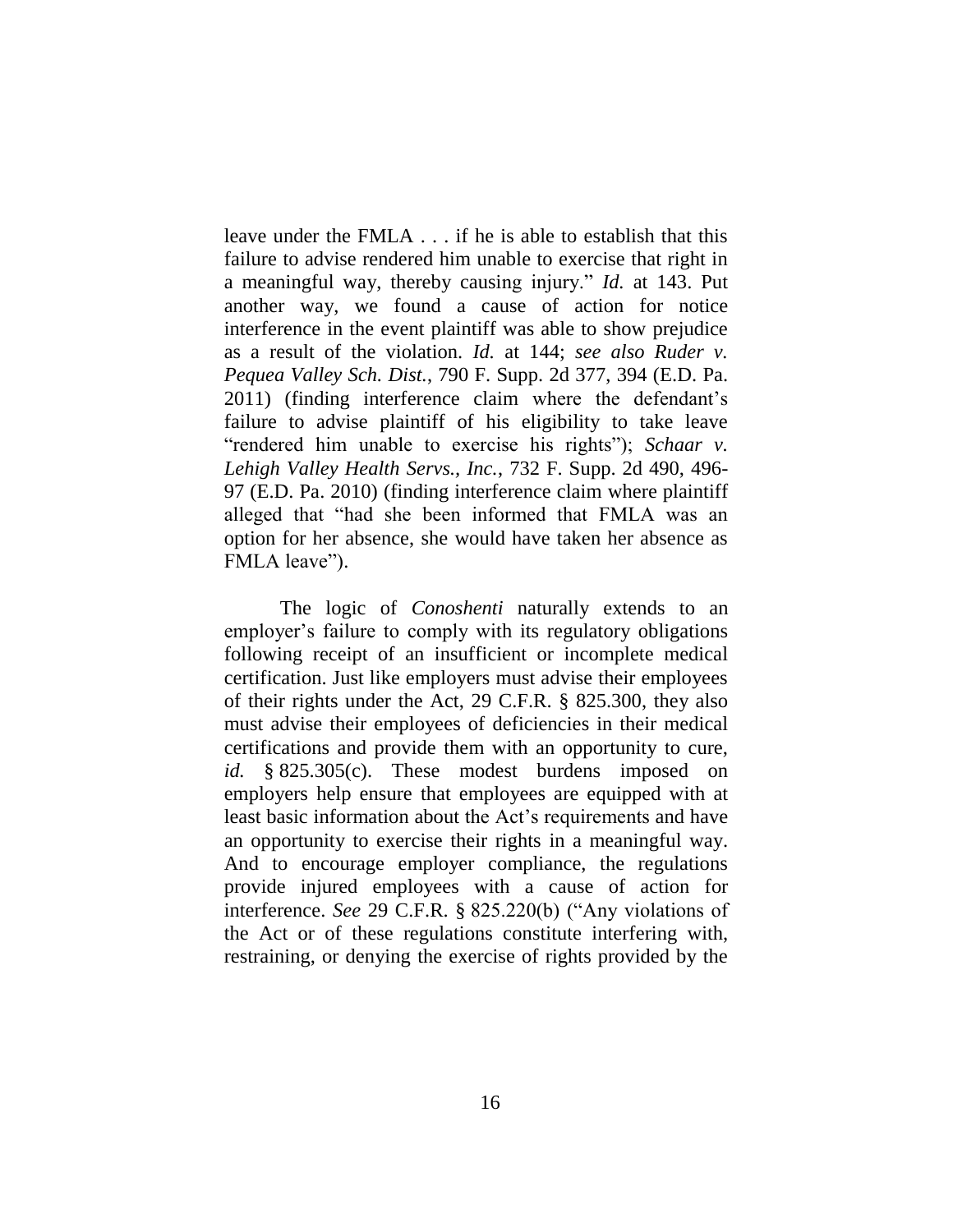leave under the FMLA . . . if he is able to establish that this failure to advise rendered him unable to exercise that right in a meaningful way, thereby causing injury." *Id.* at 143. Put another way, we found a cause of action for notice interference in the event plaintiff was able to show prejudice as a result of the violation. *Id.* at 144; *see also Ruder v. Pequea Valley Sch. Dist.*, 790 F. Supp. 2d 377, 394 (E.D. Pa. 2011) (finding interference claim where the defendant's failure to advise plaintiff of his eligibility to take leave "rendered him unable to exercise his rights"); *Schaar v. Lehigh Valley Health Servs., Inc.*, 732 F. Supp. 2d 490, 496- 97 (E.D. Pa. 2010) (finding interference claim where plaintiff alleged that "had she been informed that FMLA was an option for her absence, she would have taken her absence as FMLA leave").

The logic of *Conoshenti* naturally extends to an employer's failure to comply with its regulatory obligations following receipt of an insufficient or incomplete medical certification. Just like employers must advise their employees of their rights under the Act, 29 C.F.R. § 825.300, they also must advise their employees of deficiencies in their medical certifications and provide them with an opportunity to cure, *id.* § 825.305(c). These modest burdens imposed on employers help ensure that employees are equipped with at least basic information about the Act's requirements and have an opportunity to exercise their rights in a meaningful way. And to encourage employer compliance, the regulations provide injured employees with a cause of action for interference. *See* 29 C.F.R. § 825.220(b) ("Any violations of the Act or of these regulations constitute interfering with, restraining, or denying the exercise of rights provided by the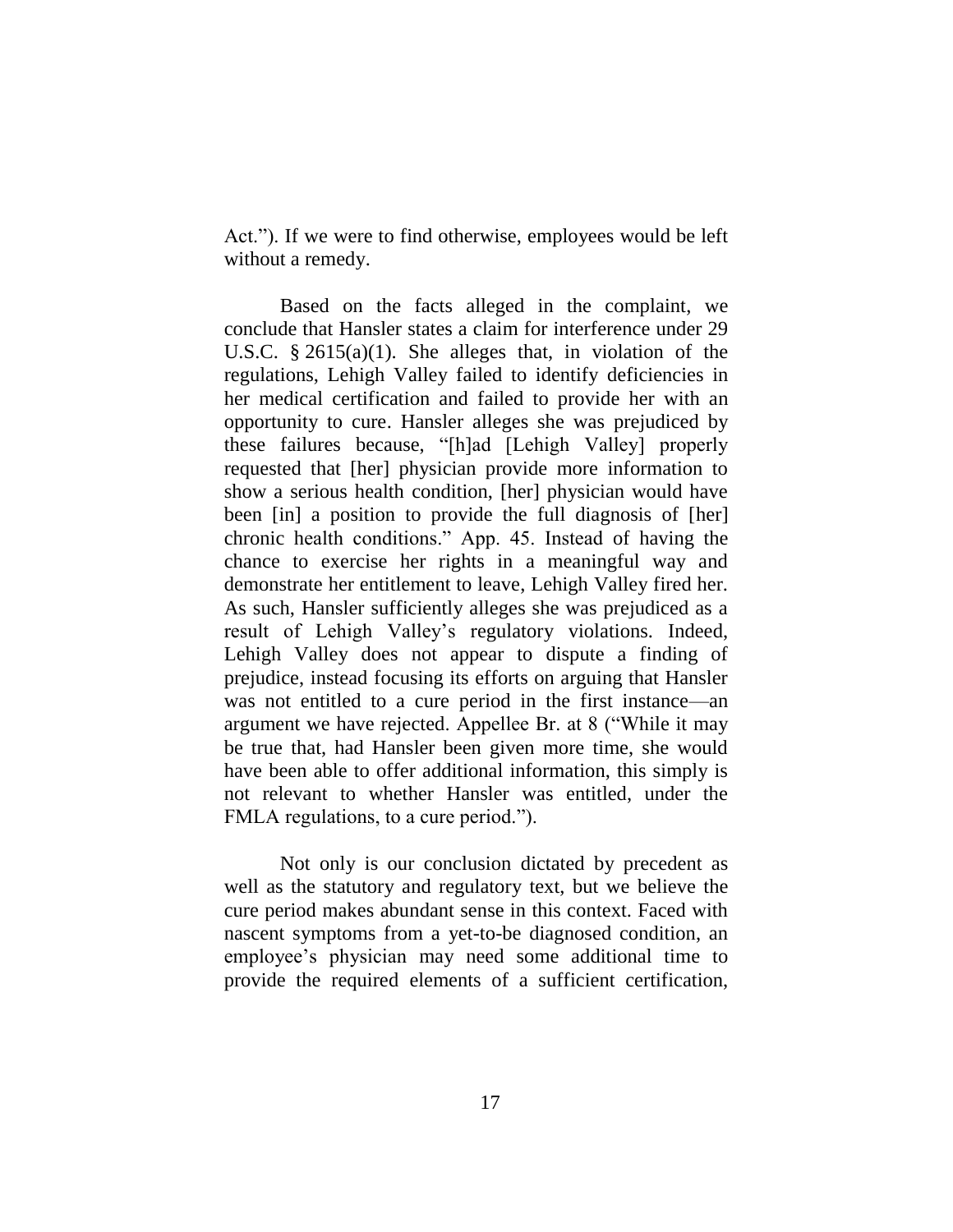Act."). If we were to find otherwise, employees would be left without a remedy.

Based on the facts alleged in the complaint, we conclude that Hansler states a claim for interference under 29 U.S.C. § 2615(a)(1). She alleges that, in violation of the regulations, Lehigh Valley failed to identify deficiencies in her medical certification and failed to provide her with an opportunity to cure. Hansler alleges she was prejudiced by these failures because, "[h]ad [Lehigh Valley] properly requested that [her] physician provide more information to show a serious health condition, [her] physician would have been [in] a position to provide the full diagnosis of [her] chronic health conditions." App. 45. Instead of having the chance to exercise her rights in a meaningful way and demonstrate her entitlement to leave, Lehigh Valley fired her. As such, Hansler sufficiently alleges she was prejudiced as a result of Lehigh Valley's regulatory violations. Indeed, Lehigh Valley does not appear to dispute a finding of prejudice, instead focusing its efforts on arguing that Hansler was not entitled to a cure period in the first instance—an argument we have rejected. Appellee Br. at 8 ("While it may be true that, had Hansler been given more time, she would have been able to offer additional information, this simply is not relevant to whether Hansler was entitled, under the FMLA regulations, to a cure period.").

Not only is our conclusion dictated by precedent as well as the statutory and regulatory text, but we believe the cure period makes abundant sense in this context. Faced with nascent symptoms from a yet-to-be diagnosed condition, an employee's physician may need some additional time to provide the required elements of a sufficient certification,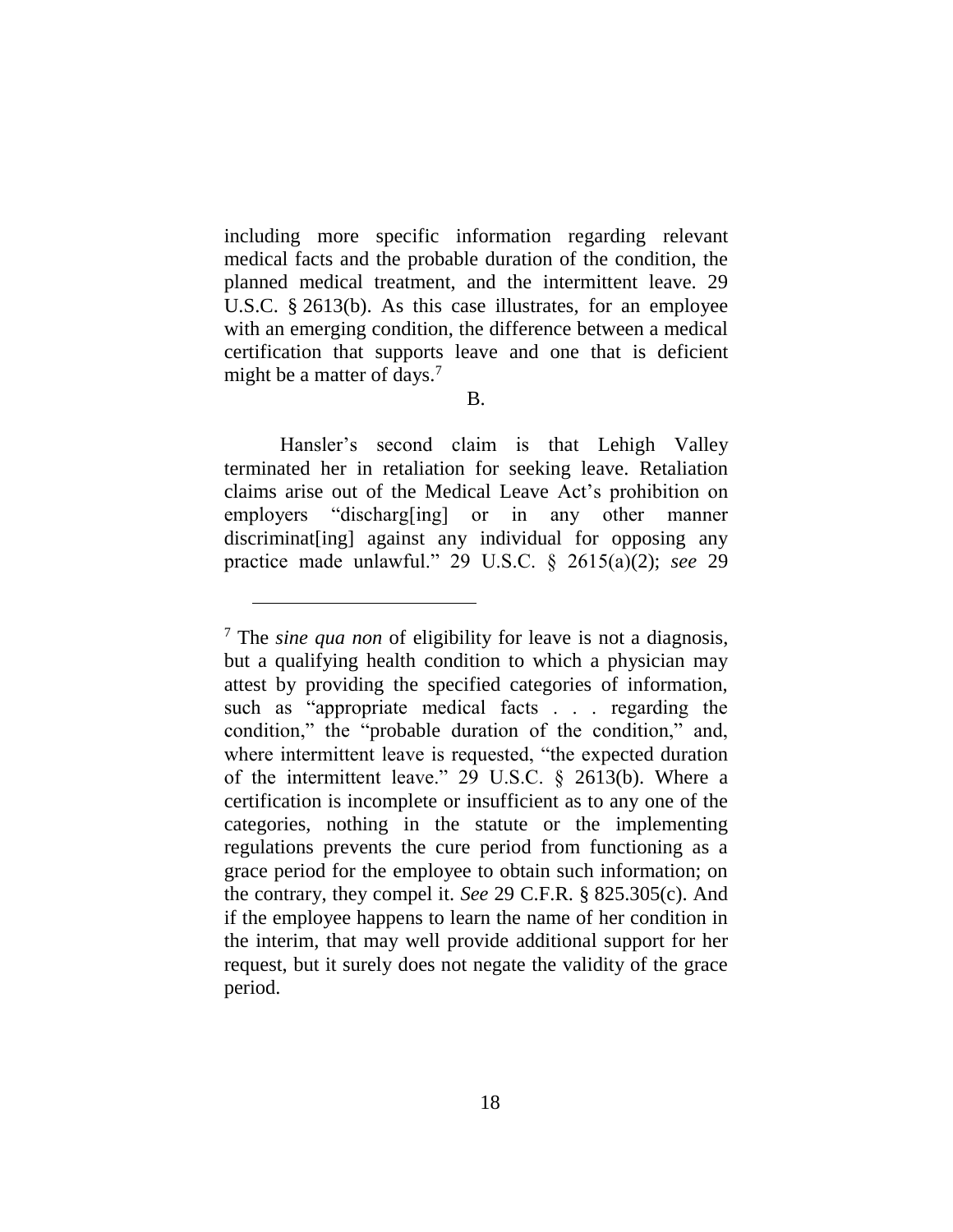including more specific information regarding relevant medical facts and the probable duration of the condition, the planned medical treatment, and the intermittent leave. 29 U.S.C. § 2613(b). As this case illustrates, for an employee with an emerging condition, the difference between a medical certification that supports leave and one that is deficient might be a matter of days.<sup>7</sup>

B.

Hansler's second claim is that Lehigh Valley terminated her in retaliation for seeking leave. Retaliation claims arise out of the Medical Leave Act's prohibition on employers "discharg[ing] or in any other manner discriminat[ing] against any individual for opposing any practice made unlawful." 29 U.S.C. § 2615(a)(2); *see* 29

<sup>7</sup> The *sine qua non* of eligibility for leave is not a diagnosis, but a qualifying health condition to which a physician may attest by providing the specified categories of information, such as "appropriate medical facts . . . regarding the condition," the "probable duration of the condition," and, where intermittent leave is requested, "the expected duration of the intermittent leave." 29 U.S.C. § 2613(b). Where a certification is incomplete or insufficient as to any one of the categories, nothing in the statute or the implementing regulations prevents the cure period from functioning as a grace period for the employee to obtain such information; on the contrary, they compel it. *See* 29 C.F.R. § 825.305(c). And if the employee happens to learn the name of her condition in the interim, that may well provide additional support for her request, but it surely does not negate the validity of the grace period.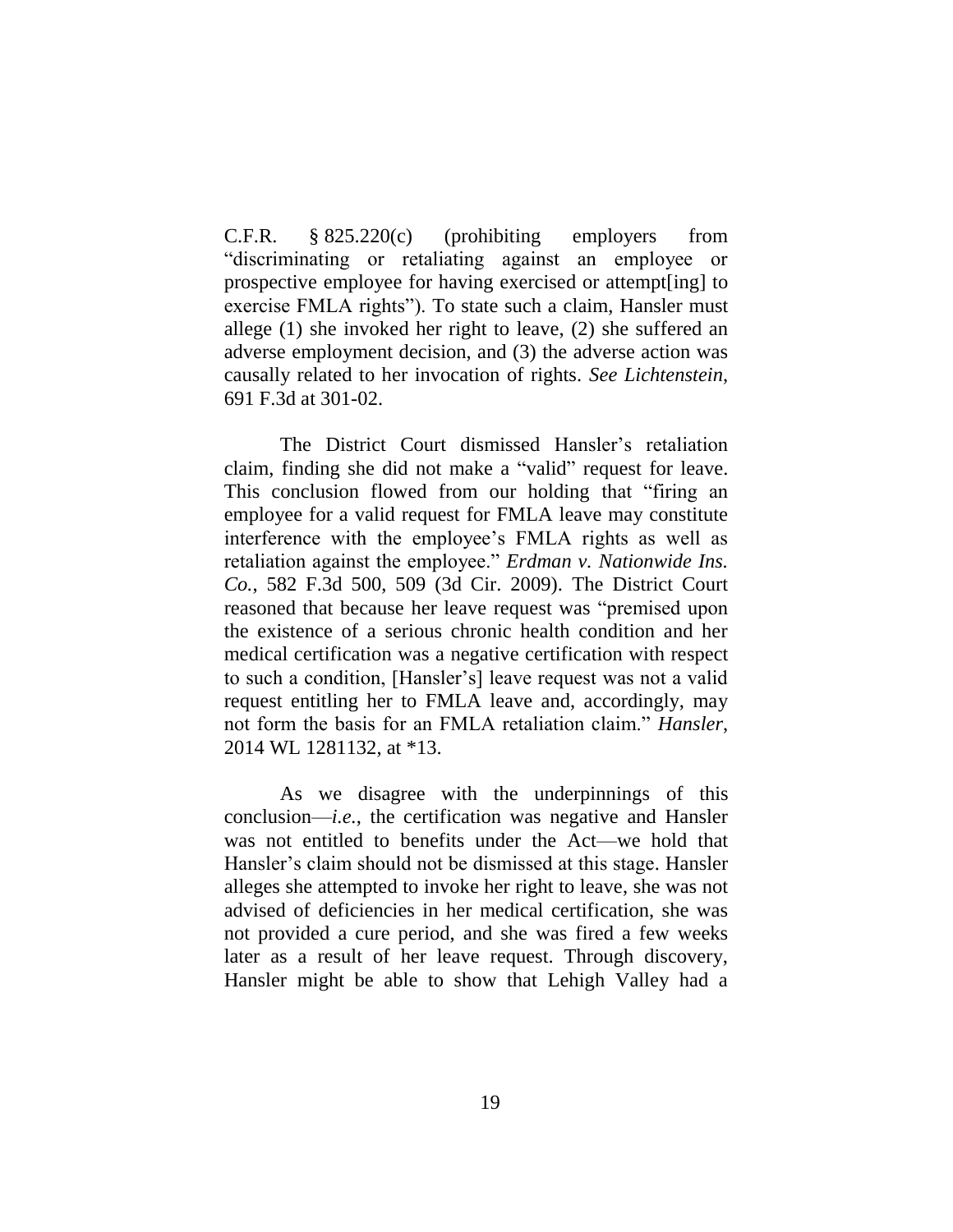C.F.R. § 825.220(c) (prohibiting employers from "discriminating or retaliating against an employee or prospective employee for having exercised or attempt[ing] to exercise FMLA rights"). To state such a claim, Hansler must allege (1) she invoked her right to leave, (2) she suffered an adverse employment decision, and (3) the adverse action was causally related to her invocation of rights. *See Lichtenstein*, 691 F.3d at 301-02.

The District Court dismissed Hansler's retaliation claim, finding she did not make a "valid" request for leave. This conclusion flowed from our holding that "firing an employee for a valid request for FMLA leave may constitute interference with the employee's FMLA rights as well as retaliation against the employee." *Erdman v. Nationwide Ins. Co.*, 582 F.3d 500, 509 (3d Cir. 2009). The District Court reasoned that because her leave request was "premised upon the existence of a serious chronic health condition and her medical certification was a negative certification with respect to such a condition, [Hansler's] leave request was not a valid request entitling her to FMLA leave and, accordingly, may not form the basis for an FMLA retaliation claim." *Hansler*, 2014 WL 1281132, at \*13.

As we disagree with the underpinnings of this conclusion—*i.e.*, the certification was negative and Hansler was not entitled to benefits under the Act—we hold that Hansler's claim should not be dismissed at this stage. Hansler alleges she attempted to invoke her right to leave, she was not advised of deficiencies in her medical certification, she was not provided a cure period, and she was fired a few weeks later as a result of her leave request. Through discovery, Hansler might be able to show that Lehigh Valley had a